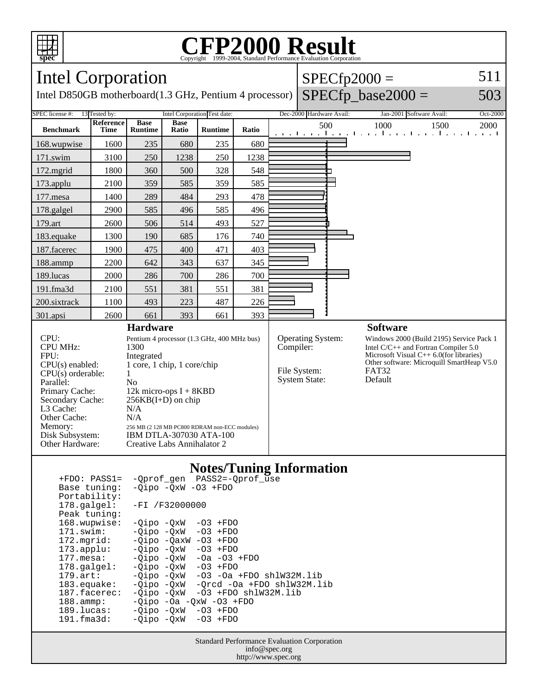

## Copyright ©1999-2004, Standard Performance Evaluation Corporation

| <b>Intel Corporation</b>                                                                                                                                                                                                                                                                                                                                                                                                                                                                                                                                                                                                                                                                                                                                                                                          |                   |                                                                                                                                                                                                                                                                                                                                   |                      |                |       |                                                                        | $SPECfp2000 =$           |  |                                                                                                                                                                                                     |          |
|-------------------------------------------------------------------------------------------------------------------------------------------------------------------------------------------------------------------------------------------------------------------------------------------------------------------------------------------------------------------------------------------------------------------------------------------------------------------------------------------------------------------------------------------------------------------------------------------------------------------------------------------------------------------------------------------------------------------------------------------------------------------------------------------------------------------|-------------------|-----------------------------------------------------------------------------------------------------------------------------------------------------------------------------------------------------------------------------------------------------------------------------------------------------------------------------------|----------------------|----------------|-------|------------------------------------------------------------------------|--------------------------|--|-----------------------------------------------------------------------------------------------------------------------------------------------------------------------------------------------------|----------|
| Intel D850GB motherboard(1.3 GHz, Pentium 4 processor)                                                                                                                                                                                                                                                                                                                                                                                                                                                                                                                                                                                                                                                                                                                                                            |                   |                                                                                                                                                                                                                                                                                                                                   |                      |                |       |                                                                        |                          |  | $SPECfp\_base2000 =$                                                                                                                                                                                | 503      |
| SPEC license #:                                                                                                                                                                                                                                                                                                                                                                                                                                                                                                                                                                                                                                                                                                                                                                                                   | 13 Tested by:     | Intel Corporation Test date:                                                                                                                                                                                                                                                                                                      |                      |                |       |                                                                        | Dec-2000 Hardware Avail: |  | Jan-2001 Software Avail:                                                                                                                                                                            | Oct-2000 |
| <b>Benchmark</b>                                                                                                                                                                                                                                                                                                                                                                                                                                                                                                                                                                                                                                                                                                                                                                                                  | Reference<br>Time | <b>Base</b><br><b>Runtime</b>                                                                                                                                                                                                                                                                                                     | <b>Base</b><br>Ratio | <b>Runtime</b> | Ratio |                                                                        | 500                      |  | 1000<br>1500<br>and the collection of the collection of the collection of                                                                                                                           | 2000     |
| 168.wupwise                                                                                                                                                                                                                                                                                                                                                                                                                                                                                                                                                                                                                                                                                                                                                                                                       | 1600              | 235                                                                                                                                                                                                                                                                                                                               | 680                  | 235            | 680   |                                                                        |                          |  |                                                                                                                                                                                                     |          |
| 171.swim                                                                                                                                                                                                                                                                                                                                                                                                                                                                                                                                                                                                                                                                                                                                                                                                          | 3100              | 250                                                                                                                                                                                                                                                                                                                               | 1238                 | 250            | 1238  |                                                                        |                          |  |                                                                                                                                                                                                     |          |
| $172$ .mgrid                                                                                                                                                                                                                                                                                                                                                                                                                                                                                                                                                                                                                                                                                                                                                                                                      | 1800              | 360                                                                                                                                                                                                                                                                                                                               | 500                  | 328            | 548   |                                                                        |                          |  |                                                                                                                                                                                                     |          |
| 173.applu                                                                                                                                                                                                                                                                                                                                                                                                                                                                                                                                                                                                                                                                                                                                                                                                         | 2100              | 359                                                                                                                                                                                                                                                                                                                               | 585                  | 359            | 585   |                                                                        |                          |  |                                                                                                                                                                                                     |          |
| 177.mesa                                                                                                                                                                                                                                                                                                                                                                                                                                                                                                                                                                                                                                                                                                                                                                                                          | 1400              | 289                                                                                                                                                                                                                                                                                                                               | 484                  | 293            | 478   |                                                                        |                          |  |                                                                                                                                                                                                     |          |
| 178.galgel                                                                                                                                                                                                                                                                                                                                                                                                                                                                                                                                                                                                                                                                                                                                                                                                        | 2900              | 585                                                                                                                                                                                                                                                                                                                               | 496                  | 585            | 496   |                                                                        |                          |  |                                                                                                                                                                                                     |          |
| 179.art                                                                                                                                                                                                                                                                                                                                                                                                                                                                                                                                                                                                                                                                                                                                                                                                           | 2600              | 506                                                                                                                                                                                                                                                                                                                               | 514                  | 493            | 527   |                                                                        |                          |  |                                                                                                                                                                                                     |          |
| 183.equake                                                                                                                                                                                                                                                                                                                                                                                                                                                                                                                                                                                                                                                                                                                                                                                                        | 1300              | 190                                                                                                                                                                                                                                                                                                                               | 685                  | 176            | 740   |                                                                        |                          |  |                                                                                                                                                                                                     |          |
| 187.facerec                                                                                                                                                                                                                                                                                                                                                                                                                                                                                                                                                                                                                                                                                                                                                                                                       | 1900              | 475                                                                                                                                                                                                                                                                                                                               | 400                  | 471            | 403   |                                                                        |                          |  |                                                                                                                                                                                                     |          |
| 188.ammp                                                                                                                                                                                                                                                                                                                                                                                                                                                                                                                                                                                                                                                                                                                                                                                                          | 2200              | 642                                                                                                                                                                                                                                                                                                                               | 343                  | 637            | 345   |                                                                        |                          |  |                                                                                                                                                                                                     |          |
| 189.lucas                                                                                                                                                                                                                                                                                                                                                                                                                                                                                                                                                                                                                                                                                                                                                                                                         | 2000              | 286                                                                                                                                                                                                                                                                                                                               | 700                  | 286            | 700   |                                                                        |                          |  |                                                                                                                                                                                                     |          |
| 191.fma3d                                                                                                                                                                                                                                                                                                                                                                                                                                                                                                                                                                                                                                                                                                                                                                                                         | 2100              | 551                                                                                                                                                                                                                                                                                                                               | 381                  | 551            | 381   |                                                                        |                          |  |                                                                                                                                                                                                     |          |
| 200.sixtrack                                                                                                                                                                                                                                                                                                                                                                                                                                                                                                                                                                                                                                                                                                                                                                                                      | 1100              | 493                                                                                                                                                                                                                                                                                                                               | 223                  | 487            | 226   |                                                                        |                          |  |                                                                                                                                                                                                     |          |
| 301.apsi                                                                                                                                                                                                                                                                                                                                                                                                                                                                                                                                                                                                                                                                                                                                                                                                          | 2600              | 661                                                                                                                                                                                                                                                                                                                               | 393                  | 661            | 393   |                                                                        |                          |  | <b>Software</b>                                                                                                                                                                                     |          |
| CPU:<br><b>CPU MHz:</b><br>FPU:<br>$CPU(s)$ enabled:<br>$CPU(s)$ orderable:<br>Parallel:<br>Primary Cache:<br>Secondary Cache:<br>L3 Cache:<br>Other Cache:<br>Memory:<br>Disk Subsystem:<br>Other Hardware:                                                                                                                                                                                                                                                                                                                                                                                                                                                                                                                                                                                                      |                   | <b>Hardware</b><br>Pentium 4 processor (1.3 GHz, 400 MHz bus)<br>1300<br>Integrated<br>1 core, 1 chip, 1 core/chip<br>$\mathbf{1}$<br>N <sub>o</sub><br>12k micro-ops $I + 8KBD$<br>$256KB(I+D)$ on chip<br>N/A<br>N/A<br>256 MB (2 128 MB PC800 RDRAM non-ECC modules)<br>IBM DTLA-307030 ATA-100<br>Creative Labs Annihalator 2 |                      |                |       | Operating System:<br>Compiler:<br>File System:<br><b>System State:</b> |                          |  | Windows 2000 (Build 2195) Service Pack 1<br>Intel $C/C++$ and Fortran Compiler 5.0<br>Microsoft Visual $C_{++}$ 6.0(for libraries)<br>Other software: Microquill SmartHeap V5.0<br>FAT32<br>Default |          |
| <b>Notes/Tuning Information</b><br>-Qprof_gen PASS2=-Qprof_use<br>$+FDO: PASS1=$<br>$-Qipo -QxW -O3 + FDO$<br>Base tuning:<br>Portability:<br>178.galgel:<br>$-FI / F32000000$<br>Peak tuning:<br>168.wupwise:<br>$-03$ +FDO<br>-Qipo -QxW<br>171.swim:<br>-Qipo -QxW<br>$-03$ +FDO<br>172.mgrid:<br>$-Qipo -QaxW -O3 + FDO$<br>-Qipo -QxW<br>$-03$ +FDO<br>$173.\text{applu}:$<br>$177.\text{mesa}:$<br>-Qipo -QxW<br>$-0a$ $-03$ $+FDO$<br>178.galgel:<br>-Qipo -QxW<br>$-03$ +FDO<br>$179.\text{art}:$<br>-Qipo -QxW<br>$-03$ $-0a$ $+FDO$ $shlW32M.lib$<br>183.equake:<br>-Qrcd -Oa +FDO shlW32M.lib<br>-Qipo -QxW<br>187.facerec:<br>-Qipo -QxW<br>$-03$ +FDO $shlW32M.lib$<br>188.ammp:<br>$-Qipo$ -Oa -QxW -O3 +FDO<br>$189.$ lucas:<br>-Qipo -QxW<br>$-03$ +FDO<br>191.fma3d:<br>-Qipo -QxW<br>$-03$ +FDO |                   |                                                                                                                                                                                                                                                                                                                                   |                      |                |       |                                                                        |                          |  |                                                                                                                                                                                                     |          |
| <b>Standard Performance Evaluation Corporation</b><br>info@spec.org<br>http://www.spec.org                                                                                                                                                                                                                                                                                                                                                                                                                                                                                                                                                                                                                                                                                                                        |                   |                                                                                                                                                                                                                                                                                                                                   |                      |                |       |                                                                        |                          |  |                                                                                                                                                                                                     |          |